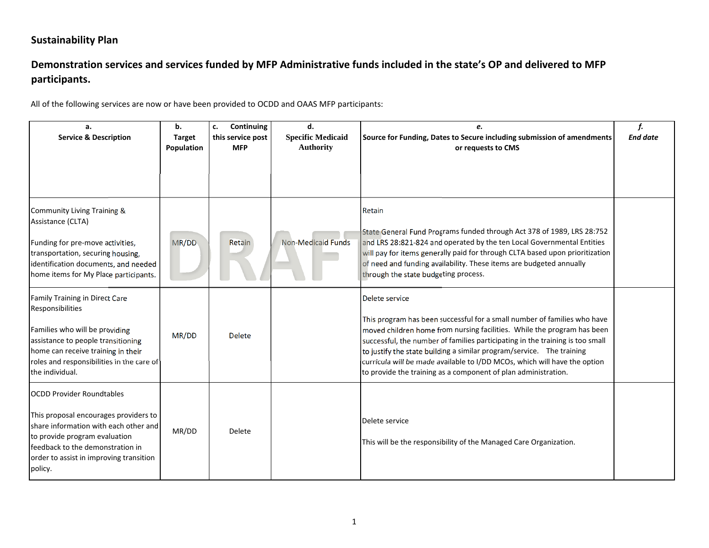# Demonstration services and services funded by MFP Administrative funds included in the state's OP and delivered to MFP **participants.**

| a.<br><b>Service &amp; Description</b>                                                                                                                                                                                                        | b.<br><b>Target</b><br>Population | Continuing<br>c.<br>this service post<br><b>MFP</b> | d.<br><b>Specific Medicaid</b><br><b>Authority</b> | e.<br>Source for Funding, Dates to Secure including submission of amendments<br>or requests to CMS                                                                                                                                                                                                                                                                                                                                                                             | f.<br><b>End date</b> |
|-----------------------------------------------------------------------------------------------------------------------------------------------------------------------------------------------------------------------------------------------|-----------------------------------|-----------------------------------------------------|----------------------------------------------------|--------------------------------------------------------------------------------------------------------------------------------------------------------------------------------------------------------------------------------------------------------------------------------------------------------------------------------------------------------------------------------------------------------------------------------------------------------------------------------|-----------------------|
| Community Living Training &<br>Assistance (CLTA)<br>Funding for pre-move activities,<br>transportation, securing housing,<br>identification documents, and needed<br>home items for My Place participants.                                    | MR/DD                             | Retain                                              | <b>Non-Medicaid Funds</b>                          | Retain<br>State General Fund Programs funded through Act 378 of 1989, LRS 28:752<br>and LRS 28:821-824 and operated by the ten Local Governmental Entities<br>will pay for items generally paid for through CLTA based upon prioritization<br>of need and funding availability. These items are budgeted annually<br>through the state budgeting process.                                                                                                                      |                       |
| Family Training in Direct Care<br>Responsibilities<br>Families who will be providing<br>assistance to people transitioning<br>home can receive training in their<br>roles and responsibilities in the care of<br>the individual.              | MR/DD                             | <b>Delete</b>                                       |                                                    | Delete service<br>This program has been successful for a small number of families who have<br>moved children home from nursing facilities. While the program has been<br>successful, the number of families participating in the training is too small<br>to justify the state building a similar program/service. The training<br>curricula will be made available to I/DD MCOs, which will have the option<br>to provide the training as a component of plan administration. |                       |
| <b>OCDD Provider Roundtables</b><br>This proposal encourages providers to<br>share information with each other and<br>to provide program evaluation<br>feedback to the demonstration in<br>order to assist in improving transition<br>policy. | MR/DD                             | Delete                                              |                                                    | Delete service<br>This will be the responsibility of the Managed Care Organization.                                                                                                                                                                                                                                                                                                                                                                                            |                       |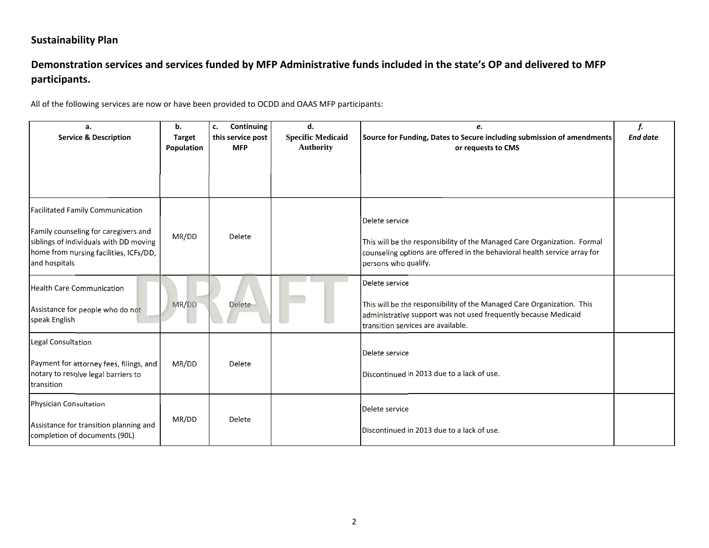# Demonstration services and services funded by MFP Administrative funds included in the state's OP and delivered to MFP **participants.**

| a.<br><b>Service &amp; Description</b>                                                                                                                                               | b.<br><b>Target</b><br>Population | Continuing<br>c.<br>this service post<br><b>MFP</b> | d.<br><b>Specific Medicaid</b><br><b>Authority</b> | e.<br>Source for Funding, Dates to Secure including submission of amendments<br>or requests to CMS                                                                                                | f.<br><b>End date</b> |
|--------------------------------------------------------------------------------------------------------------------------------------------------------------------------------------|-----------------------------------|-----------------------------------------------------|----------------------------------------------------|---------------------------------------------------------------------------------------------------------------------------------------------------------------------------------------------------|-----------------------|
|                                                                                                                                                                                      |                                   |                                                     |                                                    |                                                                                                                                                                                                   |                       |
| <b>Facilitated Family Communication</b><br>Family counseling for caregivers and<br>siblings of individuals with DD moving<br>home from nursing facilities, ICFs/DD,<br>and hospitals | MR/DD                             | <b>Delete</b>                                       |                                                    | Delete service<br>This will be the responsibility of the Managed Care Organization. Formal<br>counseling options are offered in the behavioral health service array for<br>persons who qualify.   |                       |
| <b>Health Care Communication</b><br>Assistance for people who do not<br>speak English                                                                                                | MR/DD                             | <b>Delete</b>                                       |                                                    | Delete service<br>This will be the responsibility of the Managed Care Organization. This<br>administrative support was not used frequently because Medicaid<br>transition services are available. |                       |
| <b>Legal Consultation</b><br>Payment for attorney fees, filings, and<br>notary to resolve legal barriers to<br>transition                                                            | MR/DD                             | <b>Delete</b>                                       |                                                    | Delete service<br>Discontinued in 2013 due to a lack of use.                                                                                                                                      |                       |
| <b>Physician Consultation</b><br>Assistance for transition planning and<br>completion of documents (90L)                                                                             | MR/DD                             | Delete                                              |                                                    | Delete service<br>Discontinued in 2013 due to a lack of use.                                                                                                                                      |                       |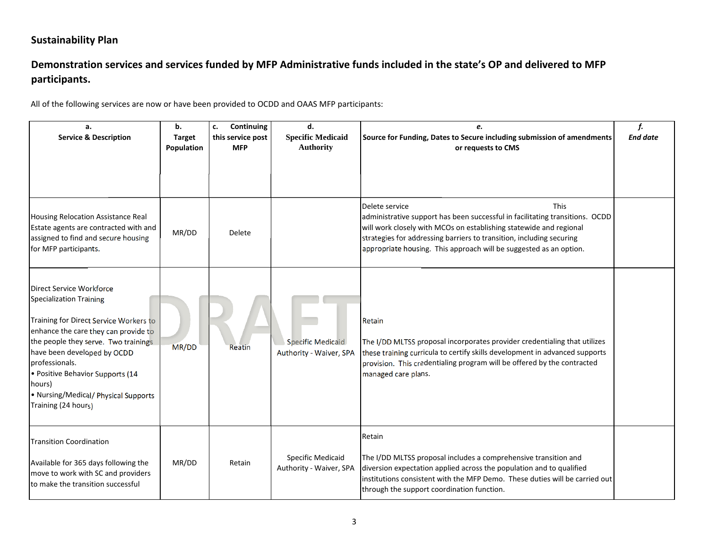# Demonstration services and services funded by MFP Administrative funds included in the state's OP and delivered to MFP **participants.**

| а.<br><b>Service &amp; Description</b>                                                                                                                                                                                                                                                                                                                    | b.<br><b>Target</b><br>Population | Continuing<br>c.<br>this service post<br><b>MFP</b> | d.<br><b>Specific Medicaid</b><br><b>Authority</b>  | e.<br>Source for Funding, Dates to Secure including submission of amendments<br>or requests to CMS                                                                                                                                                                                                                                | f.<br><b>End date</b> |
|-----------------------------------------------------------------------------------------------------------------------------------------------------------------------------------------------------------------------------------------------------------------------------------------------------------------------------------------------------------|-----------------------------------|-----------------------------------------------------|-----------------------------------------------------|-----------------------------------------------------------------------------------------------------------------------------------------------------------------------------------------------------------------------------------------------------------------------------------------------------------------------------------|-----------------------|
| <b>Housing Relocation Assistance Real</b><br>Estate agents are contracted with and<br>assigned to find and secure housing<br>for MFP participants.                                                                                                                                                                                                        | MR/DD                             | Delete                                              |                                                     | Delete service<br><b>This</b><br>administrative support has been successful in facilitating transitions. OCDD<br>will work closely with MCOs on establishing statewide and regional<br>strategies for addressing barriers to transition, including securing<br>appropriate housing. This approach will be suggested as an option. |                       |
| <b>Direct Service Workforce</b><br><b>Specialization Training</b><br>Training for Direct Service Workers to<br>enhance the care they can provide to<br>the people they serve. Two trainings<br>have been developed by OCDD<br>professionals.<br>· Positive Behavior Supports (14<br>hours)<br>• Nursing/Medical/ Physical Supports<br>Training (24 hours) | MR/DD                             | Reatin                                              | <b>Specific Medicaid</b><br>Authority - Waiver, SPA | Retain<br>The I/DD MLTSS proposal incorporates provider credentialing that utilizes<br>these training curricula to certify skills development in advanced supports<br>provision. This credentialing program will be offered by the contracted<br>managed care plans.                                                              |                       |
| <b>Transition Coordination</b><br>Available for 365 days following the<br>move to work with SC and providers<br>to make the transition successful                                                                                                                                                                                                         | MR/DD                             | Retain                                              | Specific Medicaid<br>Authority - Waiver, SPA        | Retain<br>The I/DD MLTSS proposal includes a comprehensive transition and<br>diversion expectation applied across the population and to qualified<br>institutions consistent with the MFP Demo. These duties will be carried out<br>through the support coordination function.                                                    |                       |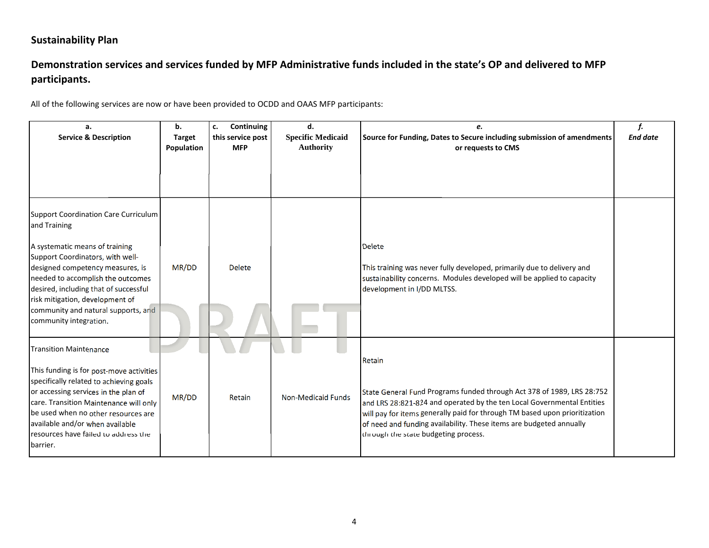# Demonstration services and services funded by MFP Administrative funds included in the state's OP and delivered to MFP **participants.**

| a.<br><b>Service &amp; Description</b>                                                                                                                                                                                                                                                                                                                  | b.<br><b>Target</b><br>Population | Continuing<br>c.<br>this service post<br><b>MFP</b> | d.<br><b>Specific Medicaid</b><br><b>Authority</b> | e.<br>Source for Funding, Dates to Secure including submission of amendments<br>or requests to CMS                                                                                                                                                                                                                                                      | f.<br><b>End date</b> |
|---------------------------------------------------------------------------------------------------------------------------------------------------------------------------------------------------------------------------------------------------------------------------------------------------------------------------------------------------------|-----------------------------------|-----------------------------------------------------|----------------------------------------------------|---------------------------------------------------------------------------------------------------------------------------------------------------------------------------------------------------------------------------------------------------------------------------------------------------------------------------------------------------------|-----------------------|
|                                                                                                                                                                                                                                                                                                                                                         |                                   |                                                     |                                                    |                                                                                                                                                                                                                                                                                                                                                         |                       |
| <b>Support Coordination Care Curriculum</b><br>and Training<br>A systematic means of training<br>Support Coordinators, with well-<br>designed competency measures, is<br>needed to accomplish the outcomes<br>desired, including that of successful<br>risk mitigation, development of<br>community and natural supports, and<br>community integration. | MR/DD                             | <b>Delete</b>                                       |                                                    | <b>Delete</b><br>This training was never fully developed, primarily due to delivery and<br>sustainability concerns. Modules developed will be applied to capacity<br>development in I/DD MLTSS.                                                                                                                                                         |                       |
| <b>Transition Maintenance</b><br>This funding is for post-move activities<br>specifically related to achieving goals<br>or accessing services in the plan of<br>care. Transition Maintenance will only<br>be used when no other resources are<br>available and/or when available<br>resources have failed to address the<br>barrier.                    | MR/DD                             | <b>Retain</b>                                       | <b>Non-Medicaid Funds</b>                          | Retain<br>State General Fund Programs funded through Act 378 of 1989, LRS 28:752<br>and LRS 28:821-824 and operated by the ten Local Governmental Entities<br>will pay for items generally paid for through TM based upon prioritization<br>of need and funding availability. These items are budgeted annually<br>through the state budgeting process. |                       |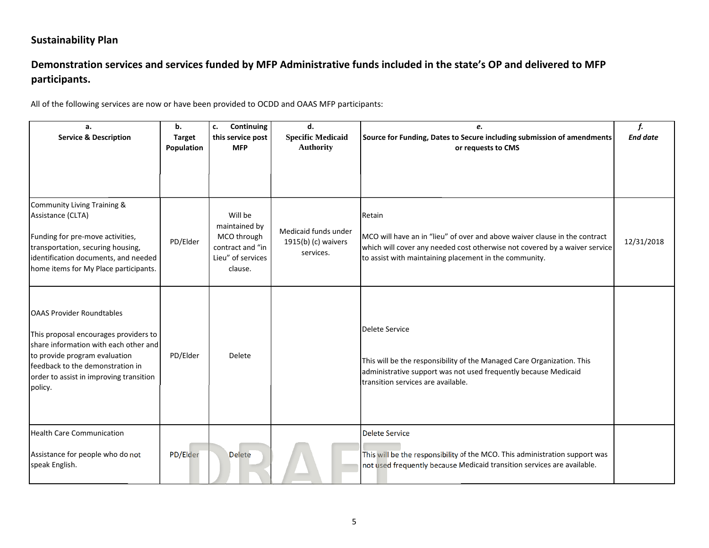# Demonstration services and services funded by MFP Administrative funds included in the state's OP and delivered to MFP **participants.**

| a.<br><b>Service &amp; Description</b>                                                                                                                                                                                                        | b.<br><b>Target</b> | Continuing<br>c.<br>this service post                                                       | d.<br><b>Specific Medicaid</b>                           | e.<br>Source for Funding, Dates to Secure including submission of amendments                                                                                                                                                 | f.<br><b>End date</b> |
|-----------------------------------------------------------------------------------------------------------------------------------------------------------------------------------------------------------------------------------------------|---------------------|---------------------------------------------------------------------------------------------|----------------------------------------------------------|------------------------------------------------------------------------------------------------------------------------------------------------------------------------------------------------------------------------------|-----------------------|
|                                                                                                                                                                                                                                               | Population          | <b>MFP</b>                                                                                  | <b>Authority</b>                                         | or requests to CMS                                                                                                                                                                                                           |                       |
| Community Living Training &<br>Assistance (CLTA)<br>Funding for pre-move activities,<br>transportation, securing housing,<br>identification documents, and needed<br>home items for My Place participants.                                    | PD/Elder            | Will be<br>maintained by<br>MCO through<br>contract and "in<br>Lieu" of services<br>clause. | Medicaid funds under<br>1915(b) (c) waivers<br>services. | Retain<br>MCO will have an in "lieu" of over and above waiver clause in the contract<br>which will cover any needed cost otherwise not covered by a waiver service<br>to assist with maintaining placement in the community. | 12/31/2018            |
| <b>OAAS Provider Roundtables</b><br>This proposal encourages providers to<br>share information with each other and<br>to provide program evaluation<br>feedback to the demonstration in<br>order to assist in improving transition<br>policy. | PD/Elder            | Delete                                                                                      |                                                          | <b>Delete Service</b><br>This will be the responsibility of the Managed Care Organization. This<br>administrative support was not used frequently because Medicaid<br>transition services are available.                     |                       |
| <b>Health Care Communication</b><br>Assistance for people who do not<br>speak English.                                                                                                                                                        | PD/Elder            | Delete                                                                                      |                                                          | <b>Delete Service</b><br>This will be the responsibility of the MCO. This administration support was<br>not used frequently because Medicaid transition services are available.                                              |                       |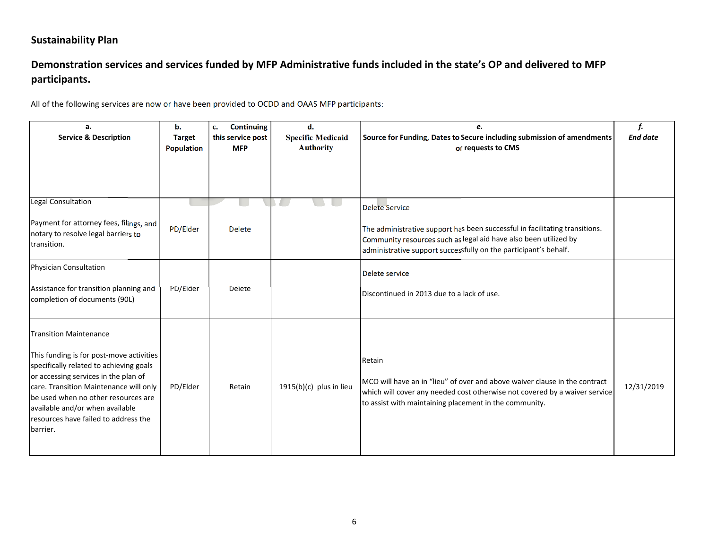# Demonstration services and services funded by MFP Administrative funds included in the state's OP and delivered to MFP **participants.**

| a.<br><b>Service &amp; Description</b>                                                                                                                                                                                                                                                                                               | ь.<br><b>Target</b><br><b>Population</b> | <b>Continuing</b><br>c.<br>this service post<br><b>MFP</b> | d.<br><b>Specific Medicaid</b><br><b>Authority</b> | e.<br>Source for Funding, Dates to Secure including submission of amendments<br>or requests to CMS                                                                                                                                           | f.<br><b>End date</b> |
|--------------------------------------------------------------------------------------------------------------------------------------------------------------------------------------------------------------------------------------------------------------------------------------------------------------------------------------|------------------------------------------|------------------------------------------------------------|----------------------------------------------------|----------------------------------------------------------------------------------------------------------------------------------------------------------------------------------------------------------------------------------------------|-----------------------|
| <b>Legal Consultation</b><br>Payment for attorney fees, filings, and<br>notary to resolve legal barriers to<br>transition.                                                                                                                                                                                                           | PD/Elder                                 | <b>Delete</b>                                              |                                                    | <b>Delete Service</b><br>The administrative support has been successful in facilitating transitions.<br>Community resources such as legal aid have also been utilized by<br>administrative support successfully on the participant's behalf. |                       |
| Physician Consultation<br>Assistance for transition planning and<br>completion of documents (90L)                                                                                                                                                                                                                                    | PD/Elder                                 | Delete                                                     |                                                    | Delete service<br>Discontinued in 2013 due to a lack of use.                                                                                                                                                                                 |                       |
| <b>Transition Maintenance</b><br>This funding is for post-move activities<br>specifically related to achieving goals<br>or accessing services in the plan of<br>care. Transition Maintenance will only<br>be used when no other resources are<br>available and/or when available<br>resources have failed to address the<br>barrier. | PD/Elder                                 | Retain                                                     | 1915(b)(c) plus in lieu                            | Retain<br>MCO will have an in "lieu" of over and above waiver clause in the contract<br>which will cover any needed cost otherwise not covered by a waiver service<br>to assist with maintaining placement in the community.                 | 12/31/2019            |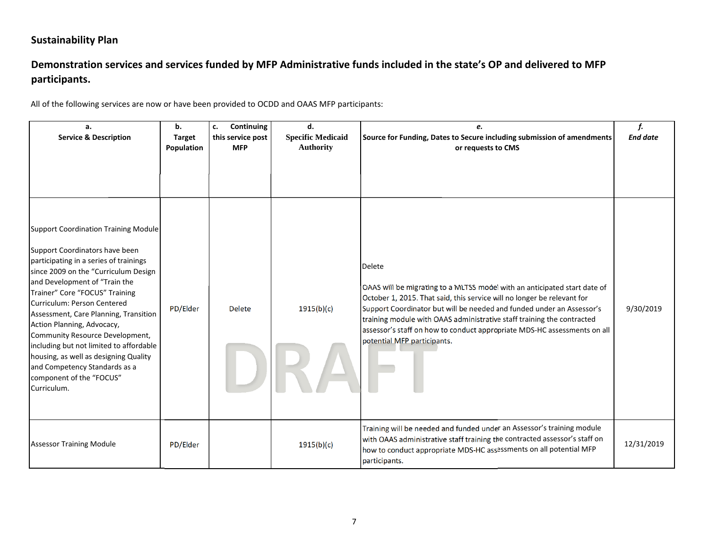# Demonstration services and services funded by MFP Administrative funds included in the state's OP and delivered to MFP **participants.**

| a.<br><b>Service &amp; Description</b>                                                                                                                                                                                                                                                                                                                                                                                                                                                                                                      | b.<br><b>Target</b><br>Population | Continuing<br>c.<br>this service post<br><b>MFP</b> | d.<br><b>Specific Medicaid</b><br><b>Authority</b> | e.<br>Source for Funding, Dates to Secure including submission of amendments<br>or requests to CMS                                                                                                                                                                                                                                                                                                                                  | f.<br><b>End date</b> |
|---------------------------------------------------------------------------------------------------------------------------------------------------------------------------------------------------------------------------------------------------------------------------------------------------------------------------------------------------------------------------------------------------------------------------------------------------------------------------------------------------------------------------------------------|-----------------------------------|-----------------------------------------------------|----------------------------------------------------|-------------------------------------------------------------------------------------------------------------------------------------------------------------------------------------------------------------------------------------------------------------------------------------------------------------------------------------------------------------------------------------------------------------------------------------|-----------------------|
| <b>Support Coordination Training Module</b><br>Support Coordinators have been<br>participating in a series of trainings<br>since 2009 on the "Curriculum Design<br>and Development of "Train the<br>Trainer" Core "FOCUS" Training<br>Curriculum: Person Centered<br>Assessment, Care Planning, Transition<br>Action Planning, Advocacy,<br>Community Resource Development,<br>including but not limited to affordable<br>housing, as well as designing Quality<br>and Competency Standards as a<br>component of the "FOCUS"<br>Curriculum. | PD/Elder                          | <b>Delete</b>                                       | 1915(b)(c)                                         | <b>Delete</b><br>OAAS will be migrating to a MLTSS model with an anticipated start date of<br>October 1, 2015. That said, this service will no longer be relevant for<br>Support Coordinator but will be needed and funded under an Assessor's<br>training module with OAAS administrative staff training the contracted<br>assessor's staff on how to conduct appropriate MDS-HC assessments on all<br>potential MFP participants. | 9/30/2019             |
| <b>Assessor Training Module</b>                                                                                                                                                                                                                                                                                                                                                                                                                                                                                                             | PD/Elder                          |                                                     | 1915(b)(c)                                         | Training will be needed and funded under an Assessor's training module<br>with OAAS administrative staff training the contracted assessor's staff on<br>how to conduct appropriate MDS-HC assessments on all potential MFP<br>participants.                                                                                                                                                                                         | 12/31/2019            |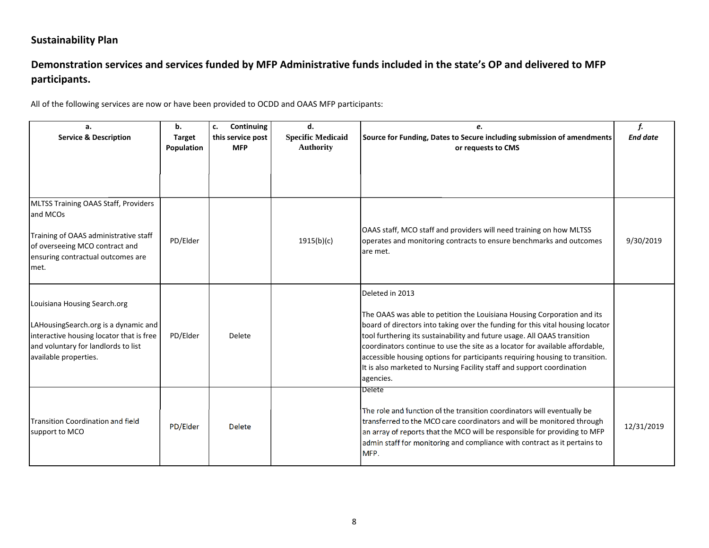# Demonstration services and services funded by MFP Administrative funds included in the state's OP and delivered to MFP **participants.**

| a.<br><b>Service &amp; Description</b>                                                                                                                                           | b.<br><b>Target</b><br>Population | Continuing<br>c.<br>this service post<br><b>MFP</b> | d.<br><b>Specific Medicaid</b><br><b>Authority</b> | e.<br>Source for Funding, Dates to Secure including submission of amendments<br>or requests to CMS                                                                                                                                                                                                                                                                                                                                                                                                              | f.<br><b>End date</b> |
|----------------------------------------------------------------------------------------------------------------------------------------------------------------------------------|-----------------------------------|-----------------------------------------------------|----------------------------------------------------|-----------------------------------------------------------------------------------------------------------------------------------------------------------------------------------------------------------------------------------------------------------------------------------------------------------------------------------------------------------------------------------------------------------------------------------------------------------------------------------------------------------------|-----------------------|
| MLTSS Training OAAS Staff, Providers<br>and MCOs<br>Training of OAAS administrative staff<br>of overseeing MCO contract and<br>ensuring contractual outcomes are<br>lmet.        | PD/Elder                          |                                                     | 1915(b)(c)                                         | OAAS staff, MCO staff and providers will need training on how MLTSS<br>operates and monitoring contracts to ensure benchmarks and outcomes<br>are met.                                                                                                                                                                                                                                                                                                                                                          | 9/30/2019             |
| Louisiana Housing Search.org<br>LAHousingSearch.org is a dynamic and<br>interactive housing locator that is free<br>and voluntary for landlords to list<br>available properties. | PD/Elder                          | <b>Delete</b>                                       |                                                    | Deleted in 2013<br>The OAAS was able to petition the Louisiana Housing Corporation and its<br>board of directors into taking over the funding for this vital housing locator<br>tool furthering its sustainability and future usage. All OAAS transition<br>coordinators continue to use the site as a locator for available affordable,<br>accessible housing options for participants requiring housing to transition.<br>It is also marketed to Nursing Facility staff and support coordination<br>agencies. |                       |
| <b>Transition Coordination and field</b><br>support to MCO                                                                                                                       | PD/Elder                          | <b>Delete</b>                                       |                                                    | <b>Delete</b><br>The role and function of the transition coordinators will eventually be<br>transferred to the MCO care coordinators and will be monitored through<br>an array of reports that the MCO will be responsible for providing to MFP<br>admin staff for monitoring and compliance with contract as it pertains to<br>MFP.                                                                                                                                                                            | 12/31/2019            |